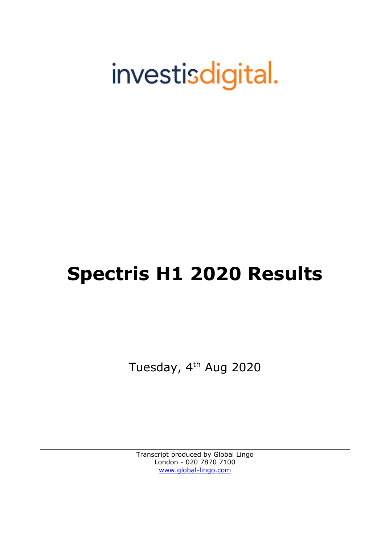# investisdigital.

# **Spectris H1 2020 Results**

Tuesday, 4<sup>th</sup> Aug 2020

Transcript produced by Global Lingo London - 020 7870 7100 [www.global-lingo.com](http://www.global-lingo.com/)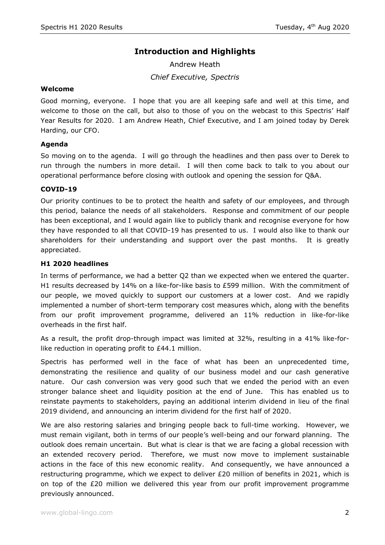# **Introduction and Highlights**

Andrew Heath *Chief Executive, Spectris*

#### **Welcome**

Good morning, everyone. I hope that you are all keeping safe and well at this time, and welcome to those on the call, but also to those of you on the webcast to this Spectris' Half Year Results for 2020. I am Andrew Heath, Chief Executive, and I am joined today by Derek Harding, our CFO.

# **Agenda**

So moving on to the agenda. I will go through the headlines and then pass over to Derek to run through the numbers in more detail. I will then come back to talk to you about our operational performance before closing with outlook and opening the session for Q&A.

### **COVID-19**

Our priority continues to be to protect the health and safety of our employees, and through this period, balance the needs of all stakeholders. Response and commitment of our people has been exceptional, and I would again like to publicly thank and recognise everyone for how they have responded to all that COVID-19 has presented to us. I would also like to thank our shareholders for their understanding and support over the past months. It is greatly appreciated.

### **H1 2020 headlines**

In terms of performance, we had a better Q2 than we expected when we entered the quarter. H1 results decreased by 14% on a like-for-like basis to £599 million. With the commitment of our people, we moved quickly to support our customers at a lower cost. And we rapidly implemented a number of short-term temporary cost measures which, along with the benefits from our profit improvement programme, delivered an 11% reduction in like-for-like overheads in the first half.

As a result, the profit drop-through impact was limited at 32%, resulting in a 41% like-forlike reduction in operating profit to £44.1 million.

Spectris has performed well in the face of what has been an unprecedented time, demonstrating the resilience and quality of our business model and our cash generative nature. Our cash conversion was very good such that we ended the period with an even stronger balance sheet and liquidity position at the end of June. This has enabled us to reinstate payments to stakeholders, paying an additional interim dividend in lieu of the final 2019 dividend, and announcing an interim dividend for the first half of 2020.

We are also restoring salaries and bringing people back to full-time working. However, we must remain vigilant, both in terms of our people's well-being and our forward planning. The outlook does remain uncertain. But what is clear is that we are facing a global recession with an extended recovery period. Therefore, we must now move to implement sustainable actions in the face of this new economic reality. And consequently, we have announced a restructuring programme, which we expect to deliver £20 million of benefits in 2021, which is on top of the  $E20$  million we delivered this year from our profit improvement programme previously announced.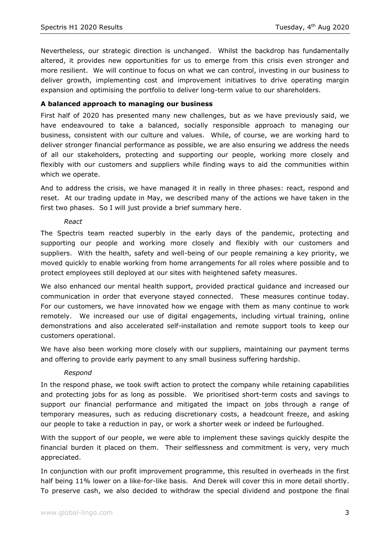Nevertheless, our strategic direction is unchanged. Whilst the backdrop has fundamentally altered, it provides new opportunities for us to emerge from this crisis even stronger and more resilient. We will continue to focus on what we can control, investing in our business to deliver growth, implementing cost and improvement initiatives to drive operating margin expansion and optimising the portfolio to deliver long-term value to our shareholders.

# **A balanced approach to managing our business**

First half of 2020 has presented many new challenges, but as we have previously said, we have endeavoured to take a balanced, socially responsible approach to managing our business, consistent with our culture and values. While, of course, we are working hard to deliver stronger financial performance as possible, we are also ensuring we address the needs of all our stakeholders, protecting and supporting our people, working more closely and flexibly with our customers and suppliers while finding ways to aid the communities within which we operate.

And to address the crisis, we have managed it in really in three phases: react, respond and reset. At our trading update in May, we described many of the actions we have taken in the first two phases. So I will just provide a brief summary here.

### *React*

The Spectris team reacted superbly in the early days of the pandemic, protecting and supporting our people and working more closely and flexibly with our customers and suppliers. With the health, safety and well-being of our people remaining a key priority, we moved quickly to enable working from home arrangements for all roles where possible and to protect employees still deployed at our sites with heightened safety measures.

We also enhanced our mental health support, provided practical guidance and increased our communication in order that everyone stayed connected. These measures continue today. For our customers, we have innovated how we engage with them as many continue to work remotely. We increased our use of digital engagements, including virtual training, online demonstrations and also accelerated self-installation and remote support tools to keep our customers operational.

We have also been working more closely with our suppliers, maintaining our payment terms and offering to provide early payment to any small business suffering hardship.

# *Respond*

In the respond phase, we took swift action to protect the company while retaining capabilities and protecting jobs for as long as possible. We prioritised short-term costs and savings to support our financial performance and mitigated the impact on jobs through a range of temporary measures, such as reducing discretionary costs, a headcount freeze, and asking our people to take a reduction in pay, or work a shorter week or indeed be furloughed.

With the support of our people, we were able to implement these savings quickly despite the financial burden it placed on them. Their selflessness and commitment is very, very much appreciated.

In conjunction with our profit improvement programme, this resulted in overheads in the first half being 11% lower on a like-for-like basis. And Derek will cover this in more detail shortly. To preserve cash, we also decided to withdraw the special dividend and postpone the final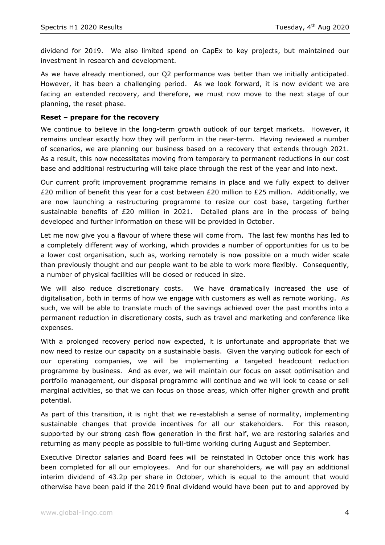dividend for 2019. We also limited spend on CapEx to key projects, but maintained our investment in research and development.

As we have already mentioned, our Q2 performance was better than we initially anticipated. However, it has been a challenging period. As we look forward, it is now evident we are facing an extended recovery, and therefore, we must now move to the next stage of our planning, the reset phase.

## **Reset – prepare for the recovery**

We continue to believe in the long-term growth outlook of our target markets. However, it remains unclear exactly how they will perform in the near-term. Having reviewed a number of scenarios, we are planning our business based on a recovery that extends through 2021. As a result, this now necessitates moving from temporary to permanent reductions in our cost base and additional restructuring will take place through the rest of the year and into next.

Our current profit improvement programme remains in place and we fully expect to deliver £20 million of benefit this year for a cost between £20 million to £25 million. Additionally, we are now launching a restructuring programme to resize our cost base, targeting further sustainable benefits of  $E20$  million in 2021. Detailed plans are in the process of being developed and further information on these will be provided in October.

Let me now give you a flavour of where these will come from. The last few months has led to a completely different way of working, which provides a number of opportunities for us to be a lower cost organisation, such as, working remotely is now possible on a much wider scale than previously thought and our people want to be able to work more flexibly. Consequently, a number of physical facilities will be closed or reduced in size.

We will also reduce discretionary costs. We have dramatically increased the use of digitalisation, both in terms of how we engage with customers as well as remote working. As such, we will be able to translate much of the savings achieved over the past months into a permanent reduction in discretionary costs, such as travel and marketing and conference like expenses.

With a prolonged recovery period now expected, it is unfortunate and appropriate that we now need to resize our capacity on a sustainable basis. Given the varying outlook for each of our operating companies, we will be implementing a targeted headcount reduction programme by business. And as ever, we will maintain our focus on asset optimisation and portfolio management, our disposal programme will continue and we will look to cease or sell marginal activities, so that we can focus on those areas, which offer higher growth and profit potential.

As part of this transition, it is right that we re-establish a sense of normality, implementing sustainable changes that provide incentives for all our stakeholders. For this reason, supported by our strong cash flow generation in the first half, we are restoring salaries and returning as many people as possible to full-time working during August and September.

Executive Director salaries and Board fees will be reinstated in October once this work has been completed for all our employees. And for our shareholders, we will pay an additional interim dividend of 43.2p per share in October, which is equal to the amount that would otherwise have been paid if the 2019 final dividend would have been put to and approved by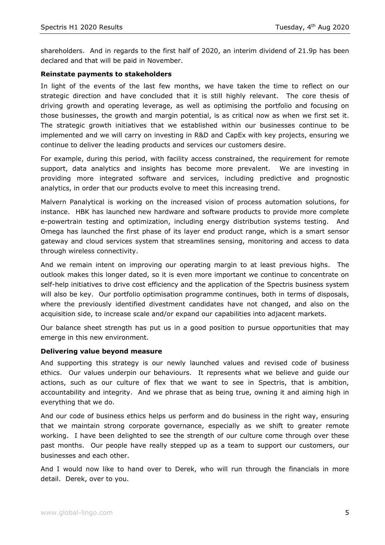shareholders. And in regards to the first half of 2020, an interim dividend of 21.9p has been declared and that will be paid in November.

### **Reinstate payments to stakeholders**

In light of the events of the last few months, we have taken the time to reflect on our strategic direction and have concluded that it is still highly relevant. The core thesis of driving growth and operating leverage, as well as optimising the portfolio and focusing on those businesses, the growth and margin potential, is as critical now as when we first set it. The strategic growth initiatives that we established within our businesses continue to be implemented and we will carry on investing in R&D and CapEx with key projects, ensuring we continue to deliver the leading products and services our customers desire.

For example, during this period, with facility access constrained, the requirement for remote support, data analytics and insights has become more prevalent. We are investing in providing more integrated software and services, including predictive and prognostic analytics, in order that our products evolve to meet this increasing trend.

Malvern Panalytical is working on the increased vision of process automation solutions, for instance. HBK has launched new hardware and software products to provide more complete e-powertrain testing and optimization, including energy distribution systems testing. And Omega has launched the first phase of its layer end product range, which is a smart sensor gateway and cloud services system that streamlines sensing, monitoring and access to data through wireless connectivity.

And we remain intent on improving our operating margin to at least previous highs. The outlook makes this longer dated, so it is even more important we continue to concentrate on self-help initiatives to drive cost efficiency and the application of the Spectris business system will also be key. Our portfolio optimisation programme continues, both in terms of disposals, where the previously identified divestment candidates have not changed, and also on the acquisition side, to increase scale and/or expand our capabilities into adjacent markets.

Our balance sheet strength has put us in a good position to pursue opportunities that may emerge in this new environment.

#### **Delivering value beyond measure**

And supporting this strategy is our newly launched values and revised code of business ethics. Our values underpin our behaviours. It represents what we believe and guide our actions, such as our culture of flex that we want to see in Spectris, that is ambition, accountability and integrity. And we phrase that as being true, owning it and aiming high in everything that we do.

And our code of business ethics helps us perform and do business in the right way, ensuring that we maintain strong corporate governance, especially as we shift to greater remote working. I have been delighted to see the strength of our culture come through over these past months. Our people have really stepped up as a team to support our customers, our businesses and each other.

And I would now like to hand over to Derek, who will run through the financials in more detail. Derek, over to you.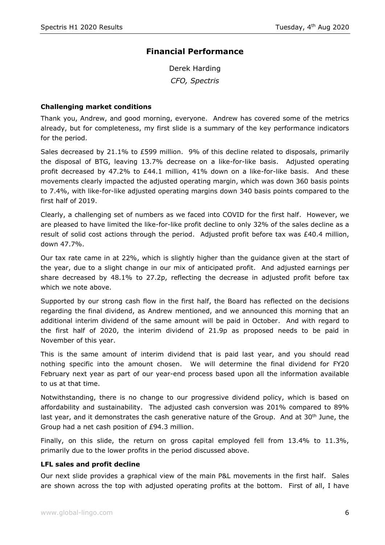# **Financial Performance**

Derek Harding *CFO, Spectris*

### **Challenging market conditions**

Thank you, Andrew, and good morning, everyone. Andrew has covered some of the metrics already, but for completeness, my first slide is a summary of the key performance indicators for the period.

Sales decreased by 21.1% to £599 million. 9% of this decline related to disposals, primarily the disposal of BTG, leaving 13.7% decrease on a like-for-like basis. Adjusted operating profit decreased by 47.2% to £44.1 million, 41% down on a like-for-like basis. And these movements clearly impacted the adjusted operating margin, which was down 360 basis points to 7.4%, with like-for-like adjusted operating margins down 340 basis points compared to the first half of 2019.

Clearly, a challenging set of numbers as we faced into COVID for the first half. However, we are pleased to have limited the like-for-like profit decline to only 32% of the sales decline as a result of solid cost actions through the period. Adjusted profit before tax was  $£40.4$  million, down 47.7%.

Our tax rate came in at 22%, which is slightly higher than the guidance given at the start of the year, due to a slight change in our mix of anticipated profit. And adjusted earnings per share decreased by 48.1% to 27.2p, reflecting the decrease in adjusted profit before tax which we note above.

Supported by our strong cash flow in the first half, the Board has reflected on the decisions regarding the final dividend, as Andrew mentioned, and we announced this morning that an additional interim dividend of the same amount will be paid in October. And with regard to the first half of 2020, the interim dividend of 21.9p as proposed needs to be paid in November of this year.

This is the same amount of interim dividend that is paid last year, and you should read nothing specific into the amount chosen. We will determine the final dividend for FY20 February next year as part of our year-end process based upon all the information available to us at that time.

Notwithstanding, there is no change to our progressive dividend policy, which is based on affordability and sustainability. The adjusted cash conversion was 201% compared to 89% last year, and it demonstrates the cash generative nature of the Group. And at  $30<sup>th</sup>$  June, the Group had a net cash position of £94.3 million.

Finally, on this slide, the return on gross capital employed fell from 13.4% to 11.3%, primarily due to the lower profits in the period discussed above.

#### **LFL sales and profit decline**

Our next slide provides a graphical view of the main P&L movements in the first half. Sales are shown across the top with adjusted operating profits at the bottom. First of all, I have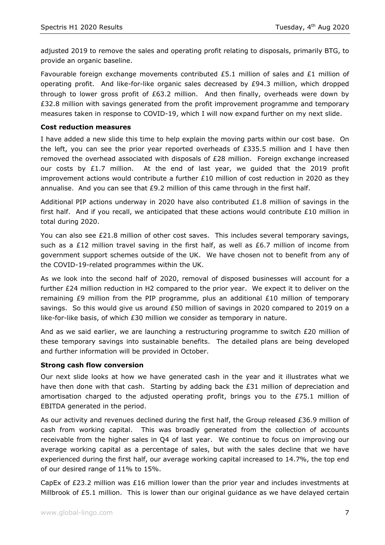adjusted 2019 to remove the sales and operating profit relating to disposals, primarily BTG, to provide an organic baseline.

Favourable foreign exchange movements contributed £5.1 million of sales and £1 million of operating profit. And like-for-like organic sales decreased by £94.3 million, which dropped through to lower gross profit of  $£63.2$  million. And then finally, overheads were down by £32.8 million with savings generated from the profit improvement programme and temporary measures taken in response to COVID-19, which I will now expand further on my next slide.

# **Cost reduction measures**

I have added a new slide this time to help explain the moving parts within our cost base. On the left, you can see the prior year reported overheads of  $E335.5$  million and I have then removed the overhead associated with disposals of £28 million. Foreign exchange increased our costs by £1.7 million. At the end of last year, we quided that the 2019 profit improvement actions would contribute a further £10 million of cost reduction in 2020 as they annualise. And you can see that  $E9.2$  million of this came through in the first half.

Additional PIP actions underway in 2020 have also contributed  $£1.8$  million of savings in the first half. And if you recall, we anticipated that these actions would contribute  $£10$  million in total during 2020.

You can also see £21.8 million of other cost saves. This includes several temporary savings, such as a £12 million travel saving in the first half, as well as £6.7 million of income from government support schemes outside of the UK. We have chosen not to benefit from any of the COVID-19-related programmes within the UK.

As we look into the second half of 2020, removal of disposed businesses will account for a further £24 million reduction in H2 compared to the prior year. We expect it to deliver on the remaining £9 million from the PIP programme, plus an additional  $£10$  million of temporary savings. So this would give us around £50 million of savings in 2020 compared to 2019 on a like-for-like basis, of which £30 million we consider as temporary in nature.

And as we said earlier, we are launching a restructuring programme to switch £20 million of these temporary savings into sustainable benefits. The detailed plans are being developed and further information will be provided in October.

# **Strong cash flow conversion**

Our next slide looks at how we have generated cash in the year and it illustrates what we have then done with that cash. Starting by adding back the £31 million of depreciation and amortisation charged to the adjusted operating profit, brings you to the £75.1 million of EBITDA generated in the period.

As our activity and revenues declined during the first half, the Group released £36.9 million of cash from working capital. This was broadly generated from the collection of accounts receivable from the higher sales in Q4 of last year. We continue to focus on improving our average working capital as a percentage of sales, but with the sales decline that we have experienced during the first half, our average working capital increased to 14.7%, the top end of our desired range of 11% to 15%.

CapEx of £23.2 million was £16 million lower than the prior year and includes investments at Millbrook of £5.1 million. This is lower than our original guidance as we have delayed certain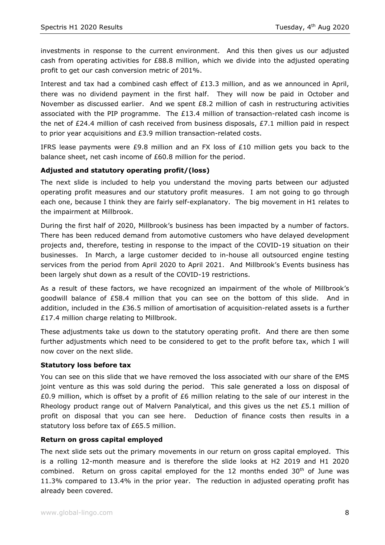investments in response to the current environment. And this then gives us our adjusted cash from operating activities for £88.8 million, which we divide into the adjusted operating profit to get our cash conversion metric of 201%.

Interest and tax had a combined cash effect of £13.3 million, and as we announced in April, there was no dividend payment in the first half. They will now be paid in October and November as discussed earlier. And we spent £8.2 million of cash in restructuring activities associated with the PIP programme. The £13.4 million of transaction-related cash income is the net of £24.4 million of cash received from business disposals, £7.1 million paid in respect to prior year acquisitions and £3.9 million transaction-related costs.

IFRS lease payments were £9.8 million and an FX loss of £10 million gets you back to the balance sheet, net cash income of £60.8 million for the period.

# **Adjusted and statutory operating profit/(loss)**

The next slide is included to help you understand the moving parts between our adjusted operating profit measures and our statutory profit measures. I am not going to go through each one, because I think they are fairly self-explanatory. The big movement in H1 relates to the impairment at Millbrook.

During the first half of 2020, Millbrook's business has been impacted by a number of factors. There has been reduced demand from automotive customers who have delayed development projects and, therefore, testing in response to the impact of the COVID-19 situation on their businesses. In March, a large customer decided to in-house all outsourced engine testing services from the period from April 2020 to April 2021. And Millbrook's Events business has been largely shut down as a result of the COVID-19 restrictions.

As a result of these factors, we have recognized an impairment of the whole of Millbrook's goodwill balance of £58.4 million that you can see on the bottom of this slide. And in addition, included in the £36.5 million of amortisation of acquisition-related assets is a further £17.4 million charge relating to Millbrook.

These adjustments take us down to the statutory operating profit. And there are then some further adjustments which need to be considered to get to the profit before tax, which I will now cover on the next slide.

# **Statutory loss before tax**

You can see on this slide that we have removed the loss associated with our share of the EMS joint venture as this was sold during the period. This sale generated a loss on disposal of £0.9 million, which is offset by a profit of £6 million relating to the sale of our interest in the Rheology product range out of Malvern Panalytical, and this gives us the net  $£5.1$  million of profit on disposal that you can see here. Deduction of finance costs then results in a statutory loss before tax of £65.5 million.

# **Return on gross capital employed**

The next slide sets out the primary movements in our return on gross capital employed. This is a rolling 12-month measure and is therefore the slide looks at H2 2019 and H1 2020 combined. Return on gross capital employed for the 12 months ended  $30<sup>th</sup>$  of June was 11.3% compared to 13.4% in the prior year. The reduction in adjusted operating profit has already been covered.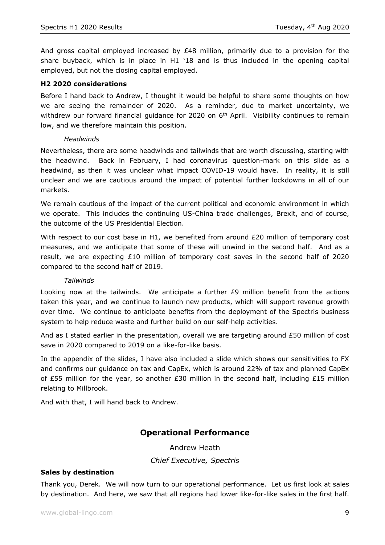And gross capital employed increased by  $£48$  million, primarily due to a provision for the share buyback, which is in place in H1 '18 and is thus included in the opening capital employed, but not the closing capital employed.

# **H2 2020 considerations**

Before I hand back to Andrew, I thought it would be helpful to share some thoughts on how we are seeing the remainder of 2020. As a reminder, due to market uncertainty, we withdrew our forward financial guidance for 2020 on 6<sup>th</sup> April. Visibility continues to remain low, and we therefore maintain this position.

# *Headwinds*

Nevertheless, there are some headwinds and tailwinds that are worth discussing, starting with the headwind. Back in February, I had coronavirus question-mark on this slide as a headwind, as then it was unclear what impact COVID-19 would have. In reality, it is still unclear and we are cautious around the impact of potential further lockdowns in all of our markets.

We remain cautious of the impact of the current political and economic environment in which we operate. This includes the continuing US-China trade challenges, Brexit, and of course, the outcome of the US Presidential Election.

With respect to our cost base in H1, we benefited from around  $E20$  million of temporary cost measures, and we anticipate that some of these will unwind in the second half. And as a result, we are expecting £10 million of temporary cost saves in the second half of 2020 compared to the second half of 2019.

# *Tailwinds*

Looking now at the tailwinds. We anticipate a further  $E9$  million benefit from the actions taken this year, and we continue to launch new products, which will support revenue growth over time. We continue to anticipate benefits from the deployment of the Spectris business system to help reduce waste and further build on our self-help activities.

And as I stated earlier in the presentation, overall we are targeting around £50 million of cost save in 2020 compared to 2019 on a like-for-like basis.

In the appendix of the slides, I have also included a slide which shows our sensitivities to FX and confirms our guidance on tax and CapEx, which is around 22% of tax and planned CapEx of £55 million for the year, so another £30 million in the second half, including £15 million relating to Millbrook.

And with that, I will hand back to Andrew.

# **Operational Performance**

Andrew Heath

*Chief Executive, Spectris*

# **Sales by destination**

Thank you, Derek. We will now turn to our operational performance. Let us first look at sales by destination. And here, we saw that all regions had lower like-for-like sales in the first half.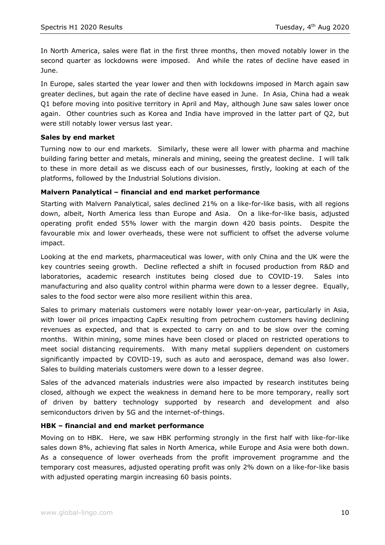In North America, sales were flat in the first three months, then moved notably lower in the second quarter as lockdowns were imposed. And while the rates of decline have eased in June.

In Europe, sales started the year lower and then with lockdowns imposed in March again saw greater declines, but again the rate of decline have eased in June. In Asia, China had a weak Q1 before moving into positive territory in April and May, although June saw sales lower once again. Other countries such as Korea and India have improved in the latter part of Q2, but were still notably lower versus last year.

# **Sales by end market**

Turning now to our end markets. Similarly, these were all lower with pharma and machine building faring better and metals, minerals and mining, seeing the greatest decline. I will talk to these in more detail as we discuss each of our businesses, firstly, looking at each of the platforms, followed by the Industrial Solutions division.

# **Malvern Panalytical – financial and end market performance**

Starting with Malvern Panalytical, sales declined 21% on a like-for-like basis, with all regions down, albeit, North America less than Europe and Asia. On a like-for-like basis, adjusted operating profit ended 55% lower with the margin down 420 basis points. Despite the favourable mix and lower overheads, these were not sufficient to offset the adverse volume impact.

Looking at the end markets, pharmaceutical was lower, with only China and the UK were the key countries seeing growth. Decline reflected a shift in focused production from R&D and laboratories, academic research institutes being closed due to COVID-19. Sales into manufacturing and also quality control within pharma were down to a lesser degree. Equally, sales to the food sector were also more resilient within this area.

Sales to primary materials customers were notably lower year-on-year, particularly in Asia, with lower oil prices impacting CapEx resulting from petrochem customers having declining revenues as expected, and that is expected to carry on and to be slow over the coming months. Within mining, some mines have been closed or placed on restricted operations to meet social distancing requirements. With many metal suppliers dependent on customers significantly impacted by COVID-19, such as auto and aerospace, demand was also lower. Sales to building materials customers were down to a lesser degree.

Sales of the advanced materials industries were also impacted by research institutes being closed, although we expect the weakness in demand here to be more temporary, really sort of driven by battery technology supported by research and development and also semiconductors driven by 5G and the internet-of-things.

# **HBK – financial and end market performance**

Moving on to HBK. Here, we saw HBK performing strongly in the first half with like-for-like sales down 8%, achieving flat sales in North America, while Europe and Asia were both down. As a consequence of lower overheads from the profit improvement programme and the temporary cost measures, adjusted operating profit was only 2% down on a like-for-like basis with adjusted operating margin increasing 60 basis points.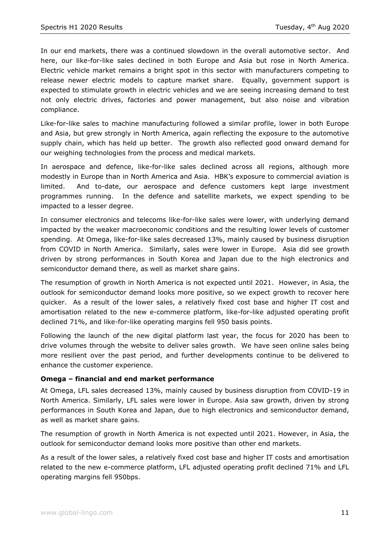In our end markets, there was a continued slowdown in the overall automotive sector. And here, our like-for-like sales declined in both Europe and Asia but rose in North America. Electric vehicle market remains a bright spot in this sector with manufacturers competing to release newer electric models to capture market share. Equally, government support is expected to stimulate growth in electric vehicles and we are seeing increasing demand to test not only electric drives, factories and power management, but also noise and vibration compliance.

Like-for-like sales to machine manufacturing followed a similar profile, lower in both Europe and Asia, but grew strongly in North America, again reflecting the exposure to the automotive supply chain, which has held up better. The growth also reflected good onward demand for our weighing technologies from the process and medical markets.

In aerospace and defence, like-for-like sales declined across all regions, although more modestly in Europe than in North America and Asia. HBK's exposure to commercial aviation is limited. And to-date, our aerospace and defence customers kept large investment programmes running. In the defence and satellite markets, we expect spending to be impacted to a lesser degree.

In consumer electronics and telecoms like-for-like sales were lower, with underlying demand impacted by the weaker macroeconomic conditions and the resulting lower levels of customer spending. At Omega, like-for-like sales decreased 13%, mainly caused by business disruption from COVID in North America. Similarly, sales were lower in Europe. Asia did see growth driven by strong performances in South Korea and Japan due to the high electronics and semiconductor demand there, as well as market share gains.

The resumption of growth in North America is not expected until 2021. However, in Asia, the outlook for semiconductor demand looks more positive, so we expect growth to recover here quicker. As a result of the lower sales, a relatively fixed cost base and higher IT cost and amortisation related to the new e-commerce platform, like-for-like adjusted operating profit declined 71%, and like-for-like operating margins fell 950 basis points.

Following the launch of the new digital platform last year, the focus for 2020 has been to drive volumes through the website to deliver sales growth. We have seen online sales being more resilient over the past period, and further developments continue to be delivered to enhance the customer experience.

# **Omega – financial and end market performance**

At Omega, LFL sales decreased 13%, mainly caused by business disruption from COVID-19 in North America. Similarly, LFL sales were lower in Europe. Asia saw growth, driven by strong performances in South Korea and Japan, due to high electronics and semiconductor demand, as well as market share gains.

The resumption of growth in North America is not expected until 2021. However, in Asia, the outlook for semiconductor demand looks more positive than other end markets.

As a result of the lower sales, a relatively fixed cost base and higher IT costs and amortisation related to the new e-commerce platform, LFL adjusted operating profit declined 71% and LFL operating margins fell 950bps.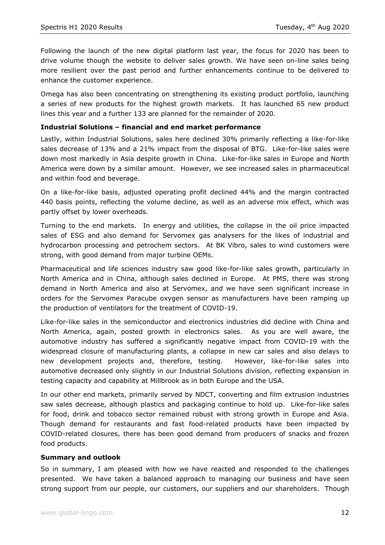Following the launch of the new digital platform last year, the focus for 2020 has been to drive volume though the website to deliver sales growth. We have seen on-line sales being more resilient over the past period and further enhancements continue to be delivered to enhance the customer experience.

Omega has also been concentrating on strengthening its existing product portfolio, launching a series of new products for the highest growth markets. It has launched 65 new product lines this year and a further 133 are planned for the remainder of 2020.

### **Industrial Solutions – financial and end market performance**

Lastly, within Industrial Solutions, sales here declined 30% primarily reflecting a like-for-like sales decrease of 13% and a 21% impact from the disposal of BTG. Like-for-like sales were down most markedly in Asia despite growth in China. Like-for-like sales in Europe and North America were down by a similar amount. However, we see increased sales in pharmaceutical and within food and beverage.

On a like-for-like basis, adjusted operating profit declined 44% and the margin contracted 440 basis points, reflecting the volume decline, as well as an adverse mix effect, which was partly offset by lower overheads.

Turning to the end markets. In energy and utilities, the collapse in the oil price impacted sales of ESG and also demand for Servomex gas analysers for the likes of industrial and hydrocarbon processing and petrochem sectors. At BK Vibro, sales to wind customers were strong, with good demand from major turbine OEMs.

Pharmaceutical and life sciences industry saw good like-for-like sales growth, particularly in North America and in China, although sales declined in Europe. At PMS, there was strong demand in North America and also at Servomex, and we have seen significant increase in orders for the Servomex Paracube oxygen sensor as manufacturers have been ramping up the production of ventilators for the treatment of COVID-19.

Like-for-like sales in the semiconductor and electronics industries did decline with China and North America, again, posted growth in electronics sales. As you are well aware, the automotive industry has suffered a significantly negative impact from COVID-19 with the widespread closure of manufacturing plants, a collapse in new car sales and also delays to new development projects and, therefore, testing. However, like-for-like sales into automotive decreased only slightly in our Industrial Solutions division, reflecting expansion in testing capacity and capability at Millbrook as in both Europe and the USA.

In our other end markets, primarily served by NDCT, converting and film extrusion industries saw sales decrease, although plastics and packaging continue to hold up. Like-for-like sales for food, drink and tobacco sector remained robust with strong growth in Europe and Asia. Though demand for restaurants and fast food-related products have been impacted by COVID-related closures, there has been good demand from producers of snacks and frozen food products.

#### **Summary and outlook**

So in summary, I am pleased with how we have reacted and responded to the challenges presented. We have taken a balanced approach to managing our business and have seen strong support from our people, our customers, our suppliers and our shareholders. Though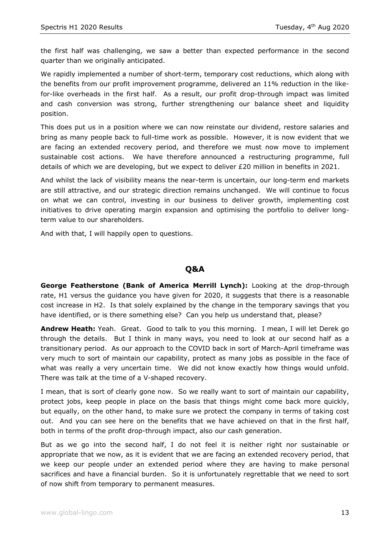the first half was challenging, we saw a better than expected performance in the second quarter than we originally anticipated.

We rapidly implemented a number of short-term, temporary cost reductions, which along with the benefits from our profit improvement programme, delivered an 11% reduction in the likefor-like overheads in the first half. As a result, our profit drop-through impact was limited and cash conversion was strong, further strengthening our balance sheet and liquidity position.

This does put us in a position where we can now reinstate our dividend, restore salaries and bring as many people back to full-time work as possible. However, it is now evident that we are facing an extended recovery period, and therefore we must now move to implement sustainable cost actions. We have therefore announced a restructuring programme, full details of which we are developing, but we expect to deliver £20 million in benefits in 2021.

And whilst the lack of visibility means the near-term is uncertain, our long-term end markets are still attractive, and our strategic direction remains unchanged. We will continue to focus on what we can control, investing in our business to deliver growth, implementing cost initiatives to drive operating margin expansion and optimising the portfolio to deliver longterm value to our shareholders.

And with that, I will happily open to questions.

# **Q&A**

**George Featherstone (Bank of America Merrill Lynch):** Looking at the drop-through rate, H1 versus the guidance you have given for 2020, it suggests that there is a reasonable cost increase in H2. Is that solely explained by the change in the temporary savings that you have identified, or is there something else? Can you help us understand that, please?

**Andrew Heath:** Yeah. Great. Good to talk to you this morning. I mean, I will let Derek go through the details. But I think in many ways, you need to look at our second half as a transitionary period. As our approach to the COVID back in sort of March-April timeframe was very much to sort of maintain our capability, protect as many jobs as possible in the face of what was really a very uncertain time. We did not know exactly how things would unfold. There was talk at the time of a V-shaped recovery.

I mean, that is sort of clearly gone now. So we really want to sort of maintain our capability, protect jobs, keep people in place on the basis that things might come back more quickly, but equally, on the other hand, to make sure we protect the company in terms of taking cost out. And you can see here on the benefits that we have achieved on that in the first half, both in terms of the profit drop-through impact, also our cash generation.

But as we go into the second half, I do not feel it is neither right nor sustainable or appropriate that we now, as it is evident that we are facing an extended recovery period, that we keep our people under an extended period where they are having to make personal sacrifices and have a financial burden. So it is unfortunately regrettable that we need to sort of now shift from temporary to permanent measures.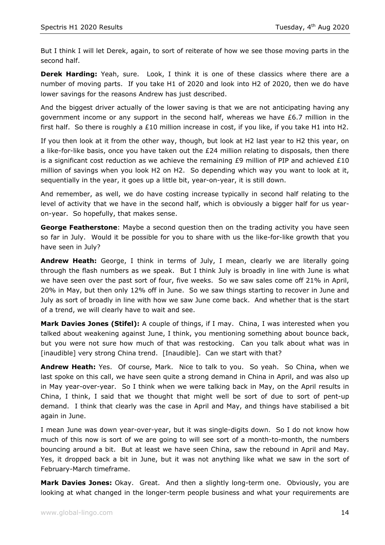But I think I will let Derek, again, to sort of reiterate of how we see those moving parts in the second half.

**Derek Harding:** Yeah, sure. Look, I think it is one of these classics where there are a number of moving parts. If you take H1 of 2020 and look into H2 of 2020, then we do have lower savings for the reasons Andrew has just described.

And the biggest driver actually of the lower saving is that we are not anticipating having any government income or any support in the second half, whereas we have £6.7 million in the first half. So there is roughly a £10 million increase in cost, if you like, if you take H1 into H2.

If you then look at it from the other way, though, but look at H2 last year to H2 this year, on a like-for-like basis, once you have taken out the  $E24$  million relating to disposals, then there is a significant cost reduction as we achieve the remaining  $E9$  million of PIP and achieved  $E10$ million of savings when you look H2 on H2. So depending which way you want to look at it, sequentially in the year, it goes up a little bit, year-on-year, it is still down.

And remember, as well, we do have costing increase typically in second half relating to the level of activity that we have in the second half, which is obviously a bigger half for us yearon-year. So hopefully, that makes sense.

**George Featherstone**: Maybe a second question then on the trading activity you have seen so far in July. Would it be possible for you to share with us the like-for-like growth that you have seen in July?

**Andrew Heath:** George, I think in terms of July, I mean, clearly we are literally going through the flash numbers as we speak. But I think July is broadly in line with June is what we have seen over the past sort of four, five weeks. So we saw sales come off 21% in April, 20% in May, but then only 12% off in June. So we saw things starting to recover in June and July as sort of broadly in line with how we saw June come back. And whether that is the start of a trend, we will clearly have to wait and see.

**Mark Davies Jones (Stifel):** A couple of things, if I may. China, I was interested when you talked about weakening against June, I think, you mentioning something about bounce back, but you were not sure how much of that was restocking. Can you talk about what was in [inaudible] very strong China trend. [Inaudible]. Can we start with that?

**Andrew Heath:** Yes. Of course, Mark. Nice to talk to you. So yeah. So China, when we last spoke on this call, we have seen quite a strong demand in China in April, and was also up in May year-over-year. So I think when we were talking back in May, on the April results in China, I think, I said that we thought that might well be sort of due to sort of pent-up demand. I think that clearly was the case in April and May, and things have stabilised a bit again in June.

I mean June was down year-over-year, but it was single-digits down. So I do not know how much of this now is sort of we are going to will see sort of a month-to-month, the numbers bouncing around a bit. But at least we have seen China, saw the rebound in April and May. Yes, it dropped back a bit in June, but it was not anything like what we saw in the sort of February-March timeframe.

**Mark Davies Jones:** Okay. Great. And then a slightly long-term one. Obviously, you are looking at what changed in the longer-term people business and what your requirements are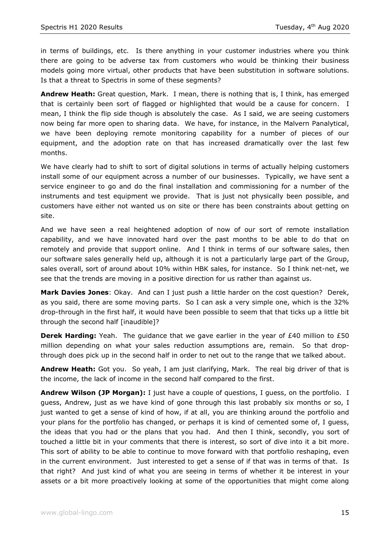in terms of buildings, etc. Is there anything in your customer industries where you think there are going to be adverse tax from customers who would be thinking their business models going more virtual, other products that have been substitution in software solutions. Is that a threat to Spectris in some of these segments?

**Andrew Heath:** Great question, Mark. I mean, there is nothing that is, I think, has emerged that is certainly been sort of flagged or highlighted that would be a cause for concern. I mean, I think the flip side though is absolutely the case. As I said, we are seeing customers now being far more open to sharing data. We have, for instance, in the Malvern Panalytical, we have been deploying remote monitoring capability for a number of pieces of our equipment, and the adoption rate on that has increased dramatically over the last few months.

We have clearly had to shift to sort of digital solutions in terms of actually helping customers install some of our equipment across a number of our businesses. Typically, we have sent a service engineer to go and do the final installation and commissioning for a number of the instruments and test equipment we provide. That is just not physically been possible, and customers have either not wanted us on site or there has been constraints about getting on site.

And we have seen a real heightened adoption of now of our sort of remote installation capability, and we have innovated hard over the past months to be able to do that on remotely and provide that support online. And I think in terms of our software sales, then our software sales generally held up, although it is not a particularly large part of the Group, sales overall, sort of around about 10% within HBK sales, for instance. So I think net-net, we see that the trends are moving in a positive direction for us rather than against us.

**Mark Davies Jones**: Okay. And can I just push a little harder on the cost question? Derek, as you said, there are some moving parts. So I can ask a very simple one, which is the 32% drop-through in the first half, it would have been possible to seem that that ticks up a little bit through the second half [inaudible]?

**Derek Harding:** Yeah. The guidance that we gave earlier in the year of £40 million to £50 million depending on what your sales reduction assumptions are, remain. So that dropthrough does pick up in the second half in order to net out to the range that we talked about.

**Andrew Heath:** Got you. So yeah, I am just clarifying, Mark. The real big driver of that is the income, the lack of income in the second half compared to the first.

**Andrew Wilson (JP Morgan):** I just have a couple of questions, I guess, on the portfolio. I guess, Andrew, just as we have kind of gone through this last probably six months or so, I just wanted to get a sense of kind of how, if at all, you are thinking around the portfolio and your plans for the portfolio has changed, or perhaps it is kind of cemented some of, I guess, the ideas that you had or the plans that you had. And then I think, secondly, you sort of touched a little bit in your comments that there is interest, so sort of dive into it a bit more. This sort of ability to be able to continue to move forward with that portfolio reshaping, even in the current environment. Just interested to get a sense of if that was in terms of that. Is that right? And just kind of what you are seeing in terms of whether it be interest in your assets or a bit more proactively looking at some of the opportunities that might come along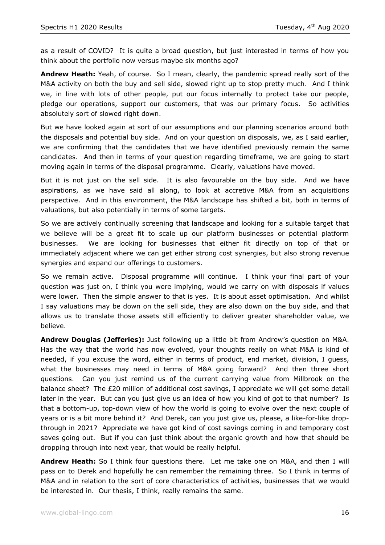as a result of COVID? It is quite a broad question, but just interested in terms of how you think about the portfolio now versus maybe six months ago?

**Andrew Heath:** Yeah, of course. So I mean, clearly, the pandemic spread really sort of the M&A activity on both the buy and sell side, slowed right up to stop pretty much. And I think we, in line with lots of other people, put our focus internally to protect take our people, pledge our operations, support our customers, that was our primary focus. So activities absolutely sort of slowed right down.

But we have looked again at sort of our assumptions and our planning scenarios around both the disposals and potential buy side. And on your question on disposals, we, as I said earlier, we are confirming that the candidates that we have identified previously remain the same candidates. And then in terms of your question regarding timeframe, we are going to start moving again in terms of the disposal programme. Clearly, valuations have moved.

But it is not just on the sell side. It is also favourable on the buy side. And we have aspirations, as we have said all along, to look at accretive M&A from an acquisitions perspective. And in this environment, the M&A landscape has shifted a bit, both in terms of valuations, but also potentially in terms of some targets.

So we are actively continually screening that landscape and looking for a suitable target that we believe will be a great fit to scale up our platform businesses or potential platform businesses. We are looking for businesses that either fit directly on top of that or immediately adjacent where we can get either strong cost synergies, but also strong revenue synergies and expand our offerings to customers.

So we remain active. Disposal programme will continue. I think your final part of your question was just on, I think you were implying, would we carry on with disposals if values were lower. Then the simple answer to that is yes. It is about asset optimisation. And whilst I say valuations may be down on the sell side, they are also down on the buy side, and that allows us to translate those assets still efficiently to deliver greater shareholder value, we believe.

**Andrew Douglas (Jefferies):** Just following up a little bit from Andrew's question on M&A. Has the way that the world has now evolved, your thoughts really on what M&A is kind of needed, if you excuse the word, either in terms of product, end market, division, I guess, what the businesses may need in terms of M&A going forward? And then three short questions. Can you just remind us of the current carrying value from Millbrook on the balance sheet? The £20 million of additional cost savings, I appreciate we will get some detail later in the year. But can you just give us an idea of how you kind of got to that number? Is that a bottom-up, top-down view of how the world is going to evolve over the next couple of years or is a bit more behind it? And Derek, can you just give us, please, a like-for-like dropthrough in 2021? Appreciate we have got kind of cost savings coming in and temporary cost saves going out. But if you can just think about the organic growth and how that should be dropping through into next year, that would be really helpful.

**Andrew Heath:** So I think four questions there. Let me take one on M&A, and then I will pass on to Derek and hopefully he can remember the remaining three. So I think in terms of M&A and in relation to the sort of core characteristics of activities, businesses that we would be interested in. Our thesis, I think, really remains the same.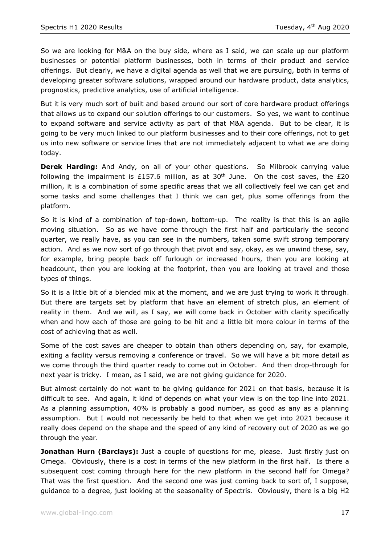So we are looking for M&A on the buy side, where as I said, we can scale up our platform businesses or potential platform businesses, both in terms of their product and service offerings. But clearly, we have a digital agenda as well that we are pursuing, both in terms of developing greater software solutions, wrapped around our hardware product, data analytics, prognostics, predictive analytics, use of artificial intelligence.

But it is very much sort of built and based around our sort of core hardware product offerings that allows us to expand our solution offerings to our customers. So yes, we want to continue to expand software and service activity as part of that M&A agenda. But to be clear, it is going to be very much linked to our platform businesses and to their core offerings, not to get us into new software or service lines that are not immediately adjacent to what we are doing today.

**Derek Harding:** And Andy, on all of your other questions. So Milbrook carrying value following the impairment is £157.6 million, as at 30<sup>th</sup> June. On the cost saves, the £20 million, it is a combination of some specific areas that we all collectively feel we can get and some tasks and some challenges that I think we can get, plus some offerings from the platform.

So it is kind of a combination of top-down, bottom-up. The reality is that this is an agile moving situation. So as we have come through the first half and particularly the second quarter, we really have, as you can see in the numbers, taken some swift strong temporary action. And as we now sort of go through that pivot and say, okay, as we unwind these, say, for example, bring people back off furlough or increased hours, then you are looking at headcount, then you are looking at the footprint, then you are looking at travel and those types of things.

So it is a little bit of a blended mix at the moment, and we are just trying to work it through. But there are targets set by platform that have an element of stretch plus, an element of reality in them. And we will, as I say, we will come back in October with clarity specifically when and how each of those are going to be hit and a little bit more colour in terms of the cost of achieving that as well.

Some of the cost saves are cheaper to obtain than others depending on, say, for example, exiting a facility versus removing a conference or travel. So we will have a bit more detail as we come through the third quarter ready to come out in October. And then drop-through for next year is tricky. I mean, as I said, we are not giving guidance for 2020.

But almost certainly do not want to be giving guidance for 2021 on that basis, because it is difficult to see. And again, it kind of depends on what your view is on the top line into 2021. As a planning assumption, 40% is probably a good number, as good as any as a planning assumption. But I would not necessarily be held to that when we get into 2021 because it really does depend on the shape and the speed of any kind of recovery out of 2020 as we go through the year.

**Jonathan Hurn (Barclays):** Just a couple of questions for me, please. Just firstly just on Omega. Obviously, there is a cost in terms of the new platform in the first half. Is there a subsequent cost coming through here for the new platform in the second half for Omega? That was the first question. And the second one was just coming back to sort of, I suppose, guidance to a degree, just looking at the seasonality of Spectris. Obviously, there is a big H2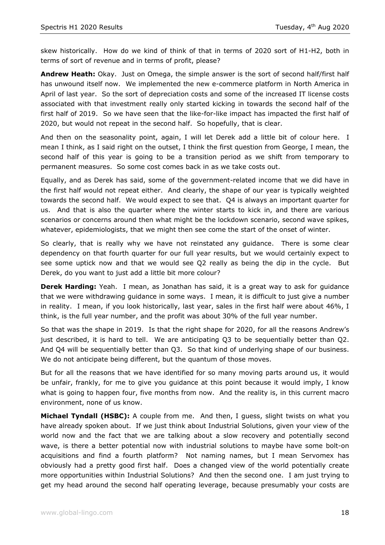skew historically. How do we kind of think of that in terms of 2020 sort of H1-H2, both in terms of sort of revenue and in terms of profit, please?

**Andrew Heath:** Okay. Just on Omega, the simple answer is the sort of second half/first half has unwound itself now. We implemented the new e-commerce platform in North America in April of last year. So the sort of depreciation costs and some of the increased IT license costs associated with that investment really only started kicking in towards the second half of the first half of 2019. So we have seen that the like-for-like impact has impacted the first half of 2020, but would not repeat in the second half. So hopefully, that is clear.

And then on the seasonality point, again, I will let Derek add a little bit of colour here. I mean I think, as I said right on the outset, I think the first question from George, I mean, the second half of this year is going to be a transition period as we shift from temporary to permanent measures. So some cost comes back in as we take costs out.

Equally, and as Derek has said, some of the government-related income that we did have in the first half would not repeat either. And clearly, the shape of our year is typically weighted towards the second half. We would expect to see that. Q4 is always an important quarter for us. And that is also the quarter where the winter starts to kick in, and there are various scenarios or concerns around then what might be the lockdown scenario, second wave spikes, whatever, epidemiologists, that we might then see come the start of the onset of winter.

So clearly, that is really why we have not reinstated any guidance. There is some clear dependency on that fourth quarter for our full year results, but we would certainly expect to see some uptick now and that we would see Q2 really as being the dip in the cycle. But Derek, do you want to just add a little bit more colour?

**Derek Harding:** Yeah. I mean, as Jonathan has said, it is a great way to ask for guidance that we were withdrawing guidance in some ways. I mean, it is difficult to just give a number in reality. I mean, if you look historically, last year, sales in the first half were about 46%, I think, is the full year number, and the profit was about 30% of the full year number.

So that was the shape in 2019. Is that the right shape for 2020, for all the reasons Andrew's just described, it is hard to tell. We are anticipating Q3 to be sequentially better than Q2. And Q4 will be sequentially better than Q3. So that kind of underlying shape of our business. We do not anticipate being different, but the quantum of those moves.

But for all the reasons that we have identified for so many moving parts around us, it would be unfair, frankly, for me to give you guidance at this point because it would imply, I know what is going to happen four, five months from now. And the reality is, in this current macro environment, none of us know.

**Michael Tyndall (HSBC):** A couple from me. And then, I guess, slight twists on what you have already spoken about. If we just think about Industrial Solutions, given your view of the world now and the fact that we are talking about a slow recovery and potentially second wave, is there a better potential now with industrial solutions to maybe have some bolt-on acquisitions and find a fourth platform? Not naming names, but I mean Servomex has obviously had a pretty good first half. Does a changed view of the world potentially create more opportunities within Industrial Solutions? And then the second one. I am just trying to get my head around the second half operating leverage, because presumably your costs are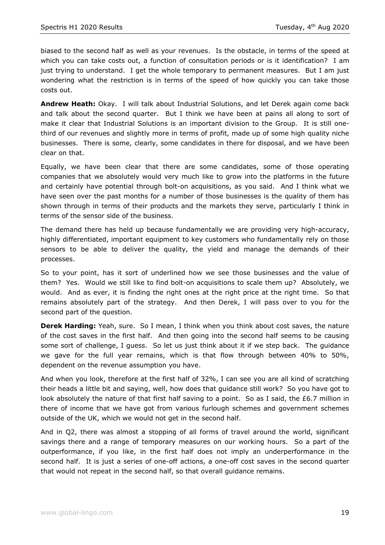biased to the second half as well as your revenues. Is the obstacle, in terms of the speed at which you can take costs out, a function of consultation periods or is it identification? I am just trying to understand. I get the whole temporary to permanent measures. But I am just wondering what the restriction is in terms of the speed of how quickly you can take those costs out.

**Andrew Heath:** Okay. I will talk about Industrial Solutions, and let Derek again come back and talk about the second quarter. But I think we have been at pains all along to sort of make it clear that Industrial Solutions is an important division to the Group. It is still onethird of our revenues and slightly more in terms of profit, made up of some high quality niche businesses. There is some, clearly, some candidates in there for disposal, and we have been clear on that.

Equally, we have been clear that there are some candidates, some of those operating companies that we absolutely would very much like to grow into the platforms in the future and certainly have potential through bolt-on acquisitions, as you said. And I think what we have seen over the past months for a number of those businesses is the quality of them has shown through in terms of their products and the markets they serve, particularly I think in terms of the sensor side of the business.

The demand there has held up because fundamentally we are providing very high-accuracy, highly differentiated, important equipment to key customers who fundamentally rely on those sensors to be able to deliver the quality, the yield and manage the demands of their processes.

So to your point, has it sort of underlined how we see those businesses and the value of them? Yes. Would we still like to find bolt-on acquisitions to scale them up? Absolutely, we would. And as ever, it is finding the right ones at the right price at the right time. So that remains absolutely part of the strategy. And then Derek, I will pass over to you for the second part of the question.

**Derek Harding:** Yeah, sure. So I mean, I think when you think about cost saves, the nature of the cost saves in the first half. And then going into the second half seems to be causing some sort of challenge, I guess. So let us just think about it if we step back. The guidance we gave for the full year remains, which is that flow through between 40% to 50%, dependent on the revenue assumption you have.

And when you look, therefore at the first half of 32%, I can see you are all kind of scratching their heads a little bit and saying, well, how does that guidance still work? So you have got to look absolutely the nature of that first half saving to a point. So as I said, the £6.7 million in there of income that we have got from various furlough schemes and government schemes outside of the UK, which we would not get in the second half.

And in Q2, there was almost a stopping of all forms of travel around the world, significant savings there and a range of temporary measures on our working hours. So a part of the outperformance, if you like, in the first half does not imply an underperformance in the second half. It is just a series of one-off actions, a one-off cost saves in the second quarter that would not repeat in the second half, so that overall guidance remains.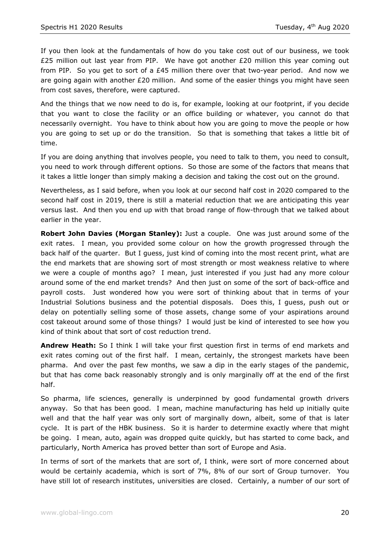If you then look at the fundamentals of how do you take cost out of our business, we took £25 million out last year from PIP. We have got another £20 million this year coming out from PIP. So you get to sort of a  $E$ 45 million there over that two-year period. And now we are going again with another £20 million. And some of the easier things you might have seen from cost saves, therefore, were captured.

And the things that we now need to do is, for example, looking at our footprint, if you decide that you want to close the facility or an office building or whatever, you cannot do that necessarily overnight. You have to think about how you are going to move the people or how you are going to set up or do the transition. So that is something that takes a little bit of time.

If you are doing anything that involves people, you need to talk to them, you need to consult, you need to work through different options. So those are some of the factors that means that it takes a little longer than simply making a decision and taking the cost out on the ground.

Nevertheless, as I said before, when you look at our second half cost in 2020 compared to the second half cost in 2019, there is still a material reduction that we are anticipating this year versus last. And then you end up with that broad range of flow-through that we talked about earlier in the year.

**Robert John Davies (Morgan Stanley):** Just a couple. One was just around some of the exit rates. I mean, you provided some colour on how the growth progressed through the back half of the quarter. But I guess, just kind of coming into the most recent print, what are the end markets that are showing sort of most strength or most weakness relative to where we were a couple of months ago? I mean, just interested if you just had any more colour around some of the end market trends? And then just on some of the sort of back-office and payroll costs. Just wondered how you were sort of thinking about that in terms of your Industrial Solutions business and the potential disposals. Does this, I guess, push out or delay on potentially selling some of those assets, change some of your aspirations around cost takeout around some of those things? I would just be kind of interested to see how you kind of think about that sort of cost reduction trend.

**Andrew Heath:** So I think I will take your first question first in terms of end markets and exit rates coming out of the first half. I mean, certainly, the strongest markets have been pharma. And over the past few months, we saw a dip in the early stages of the pandemic, but that has come back reasonably strongly and is only marginally off at the end of the first half.

So pharma, life sciences, generally is underpinned by good fundamental growth drivers anyway. So that has been good. I mean, machine manufacturing has held up initially quite well and that the half year was only sort of marginally down, albeit, some of that is later cycle. It is part of the HBK business. So it is harder to determine exactly where that might be going. I mean, auto, again was dropped quite quickly, but has started to come back, and particularly, North America has proved better than sort of Europe and Asia.

In terms of sort of the markets that are sort of, I think, were sort of more concerned about would be certainly academia, which is sort of 7%, 8% of our sort of Group turnover. You have still lot of research institutes, universities are closed. Certainly, a number of our sort of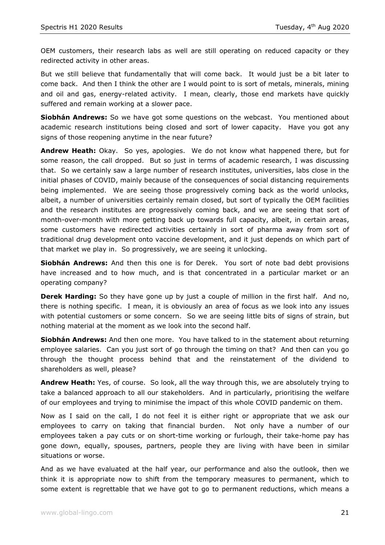OEM customers, their research labs as well are still operating on reduced capacity or they redirected activity in other areas.

But we still believe that fundamentally that will come back. It would just be a bit later to come back. And then I think the other are I would point to is sort of metals, minerals, mining and oil and gas, energy-related activity. I mean, clearly, those end markets have quickly suffered and remain working at a slower pace.

**Siobhán Andrews:** So we have got some questions on the webcast. You mentioned about academic research institutions being closed and sort of lower capacity. Have you got any signs of those reopening anytime in the near future?

**Andrew Heath:** Okay. So yes, apologies. We do not know what happened there, but for some reason, the call dropped. But so just in terms of academic research, I was discussing that. So we certainly saw a large number of research institutes, universities, labs close in the initial phases of COVID, mainly because of the consequences of social distancing requirements being implemented. We are seeing those progressively coming back as the world unlocks, albeit, a number of universities certainly remain closed, but sort of typically the OEM facilities and the research institutes are progressively coming back, and we are seeing that sort of month-over-month with more getting back up towards full capacity, albeit, in certain areas, some customers have redirected activities certainly in sort of pharma away from sort of traditional drug development onto vaccine development, and it just depends on which part of that market we play in. So progressively, we are seeing it unlocking.

**Siobhán Andrews:** And then this one is for Derek. You sort of note bad debt provisions have increased and to how much, and is that concentrated in a particular market or an operating company?

**Derek Harding:** So they have gone up by just a couple of million in the first half. And no, there is nothing specific. I mean, it is obviously an area of focus as we look into any issues with potential customers or some concern. So we are seeing little bits of signs of strain, but nothing material at the moment as we look into the second half.

**Siobhán Andrews:** And then one more. You have talked to in the statement about returning employee salaries. Can you just sort of go through the timing on that? And then can you go through the thought process behind that and the reinstatement of the dividend to shareholders as well, please?

**Andrew Heath:** Yes, of course. So look, all the way through this, we are absolutely trying to take a balanced approach to all our stakeholders. And in particularly, prioritising the welfare of our employees and trying to minimise the impact of this whole COVID pandemic on them.

Now as I said on the call, I do not feel it is either right or appropriate that we ask our employees to carry on taking that financial burden. Not only have a number of our employees taken a pay cuts or on short-time working or furlough, their take-home pay has gone down, equally, spouses, partners, people they are living with have been in similar situations or worse.

And as we have evaluated at the half year, our performance and also the outlook, then we think it is appropriate now to shift from the temporary measures to permanent, which to some extent is regrettable that we have got to go to permanent reductions, which means a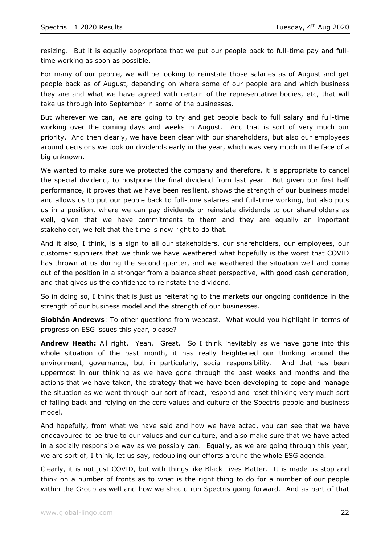resizing. But it is equally appropriate that we put our people back to full-time pay and fulltime working as soon as possible.

For many of our people, we will be looking to reinstate those salaries as of August and get people back as of August, depending on where some of our people are and which business they are and what we have agreed with certain of the representative bodies, etc, that will take us through into September in some of the businesses.

But wherever we can, we are going to try and get people back to full salary and full-time working over the coming days and weeks in August. And that is sort of very much our priority. And then clearly, we have been clear with our shareholders, but also our employees around decisions we took on dividends early in the year, which was very much in the face of a big unknown.

We wanted to make sure we protected the company and therefore, it is appropriate to cancel the special dividend, to postpone the final dividend from last year. But given our first half performance, it proves that we have been resilient, shows the strength of our business model and allows us to put our people back to full-time salaries and full-time working, but also puts us in a position, where we can pay dividends or reinstate dividends to our shareholders as well, given that we have commitments to them and they are equally an important stakeholder, we felt that the time is now right to do that.

And it also, I think, is a sign to all our stakeholders, our shareholders, our employees, our customer suppliers that we think we have weathered what hopefully is the worst that COVID has thrown at us during the second quarter, and we weathered the situation well and come out of the position in a stronger from a balance sheet perspective, with good cash generation, and that gives us the confidence to reinstate the dividend.

So in doing so, I think that is just us reiterating to the markets our ongoing confidence in the strength of our business model and the strength of our businesses.

**Siobhán Andrews**: To other questions from webcast. What would you highlight in terms of progress on ESG issues this year, please?

**Andrew Heath:** All right. Yeah. Great. So I think inevitably as we have gone into this whole situation of the past month, it has really heightened our thinking around the environment, governance, but in particularly, social responsibility. And that has been uppermost in our thinking as we have gone through the past weeks and months and the actions that we have taken, the strategy that we have been developing to cope and manage the situation as we went through our sort of react, respond and reset thinking very much sort of falling back and relying on the core values and culture of the Spectris people and business model.

And hopefully, from what we have said and how we have acted, you can see that we have endeavoured to be true to our values and our culture, and also make sure that we have acted in a socially responsible way as we possibly can. Equally, as we are going through this year, we are sort of, I think, let us say, redoubling our efforts around the whole ESG agenda.

Clearly, it is not just COVID, but with things like Black Lives Matter. It is made us stop and think on a number of fronts as to what is the right thing to do for a number of our people within the Group as well and how we should run Spectris going forward. And as part of that